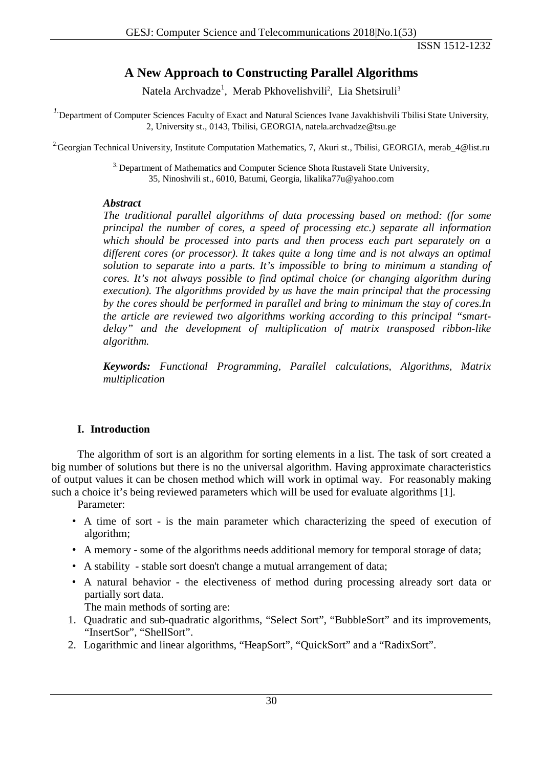ISSN 1512-1232

# **A New Approach to Constructing Parallel Algorithms**

Natela Archvadze<sup>1</sup>, Merab Pkhovelishvili<sup>2</sup>, Lia Shetsiruli<sup>3</sup>

<sup>1</sup>. Department of Computer Sciences Faculty of Exact and Natural Sciences Ivane Javakhishvili Tbilisi State University, 2, University st., 0143, Tbilisi, GEORGIA, natela.archvadze@tsu.ge

<sup>2</sup> Georgian Technical University, Institute Computation Mathematics, 7, Akuri st., Tbilisi, GEORGIA, merab\_4@list.ru

<sup>3</sup>. Department of Mathematics and Computer Science Shota Rustaveli State University, 35, Ninoshvili st., 6010, Batumi, Georgia, [likalika77u@yahoo.com](mailto:likalika77u@yahoo.com)

#### *Abstract*

*The traditional parallel algorithms of data processing based on method: (for some principal the number of cores, a speed of processing etc.) separate all information which should be processed into parts and then process each part separately on a different cores (or processor). It takes quite a long time and is not always an optimal solution to separate into a parts. It's impossible to bring to minimum a standing of cores. It's not always possible to find optimal choice (or changing algorithm during execution). The algorithms provided by us have the main principal that the processing by the cores should be performed in parallel and bring to minimum the stay of cores.In the article are reviewed two algorithms working according to this principal "smartdelay" and the development of multiplication of matrix transposed ribbon-like algorithm.*

*Keywords: Functional Programming, Parallel calculations, Algorithms, Matrix multiplication*

# **I. Introduction**

The algorithm of sort is an algorithm for sorting elements in a list. The task of sort created a big number of solutions but there is no the universal algorithm. Having approximate characteristics of output values it can be chosen method which will work in optimal way. For reasonably making such a choice it's being reviewed parameters which will be used for evaluate algorithms [1].

Parameter:

- A time of sort is the main parameter which characterizing the speed of execution of algorithm;
- A memory some of the algorithms needs additional memory for temporal storage of data;
- A stability stable sort doesn't change a mutual arrangement of data;
- A natural behavior the electiveness of method during processing already sort data or partially sort data.

The main methods of sorting are:

- 1. Quadratic and sub-quadratic algorithms, "Select Sort", "BubbleSort" and its improvements, "InsertSor", "ShellSort".
- 2. Logarithmic and linear algorithms, "HeapSort", "QuickSort" and a "RadixSort".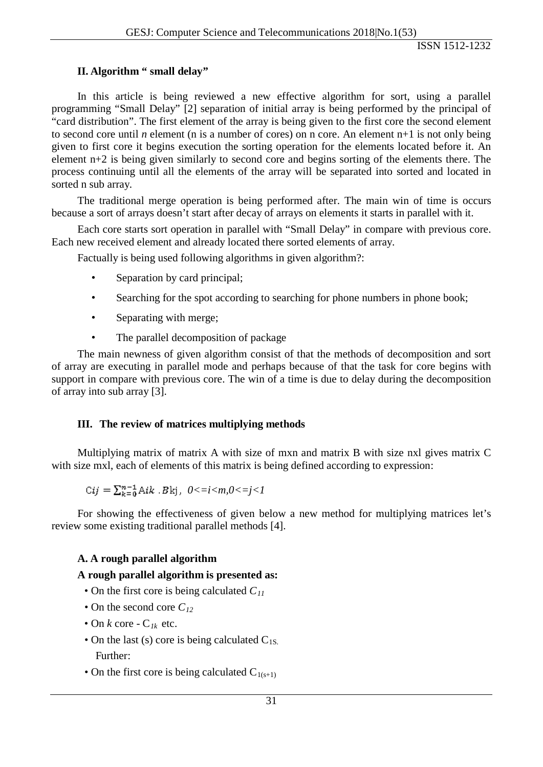### **II. Algorithm " small delay"**

In this article is being reviewed a new effective algorithm for sort, using a parallel programming "Small Delay" [2] separation of initial array is being performed by the principal of "card distribution". The first element of the array is being given to the first core the second element to second core until *n* element (n is a number of cores) on n core. An element n+1 is not only being given to first core it begins execution the sorting operation for the elements located before it. An element n+2 is being given similarly to second core and begins sorting of the elements there. The process continuing until all the elements of the array will be separated into sorted and located in sorted n sub array.

The traditional merge operation is being performed after. The main win of time is occurs because a sort of arrays doesn't start after decay of arrays on elements it starts in parallel with it.

Each core starts sort operation in parallel with "Small Delay" in compare with previous core. Each new received element and already located there sorted elements of array.

Factually is being used following algorithms in given algorithm?:

- Separation by card principal:
- Searching for the spot according to searching for phone numbers in phone book;
- Separating with merge;
- The parallel decomposition of package

The main newness of given algorithm consist of that the methods of decomposition and sort of array are executing in parallel mode and perhaps because of that the task for core begins with support in compare with previous core. The win of a time is due to delay during the decomposition of array into sub array [3].

#### **III. The review of matrices multiplying methods**

Multiplying matrix of matrix A with size of mxn and matrix B with size nxl gives matrix C with size mxl, each of elements of this matrix is being defined according to expression:

$$
Cij = \sum_{k=0}^{n-1} Aik \cdot Bkj, \quad 0 \le i \le m, 0 \le j \le l
$$

For showing the effectiveness of given below a new method for multiplying matrices let's review some existing traditional parallel methods [4].

#### **A. A rough parallel algorithm**

#### **A rough parallel algorithm is presented as:**

- On the first core is being calculated  $C_{11}$
- On the second core  $C_{12}$
- On  $k$  core C<sub>*Ik*</sub> etc.
- On the last (s) core is being calculated  $C_{1S}$ . Further:
- On the first core is being calculated  $C_{1(s+1)}$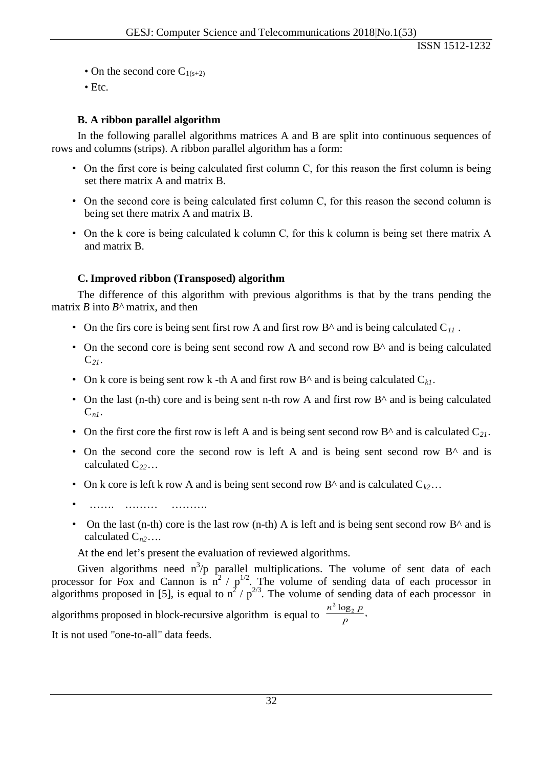- On the second core  $C_{1(s+2)}$
- Etc.

# **B. A ribbon parallel algorithm**

In the following parallel algorithms matrices A and B are split into continuous sequences of rows and columns (strips). A ribbon parallel algorithm has a form:

- On the first core is being calculated first column C, for this reason the first column is being set there matrix A and matrix B.
- On the second core is being calculated first column C, for this reason the second column is being set there matrix A and matrix B.
- On the k core is being calculated k column C, for this k column is being set there matrix A and matrix B.

## **C. Improved ribbon (Transposed) algorithm**

The difference of this algorithm with previous algorithms is that by the trans pending the matrix *B* into *B^* matrix, and then

- On the firs core is being sent first row A and first row  $B^{\wedge}$  and is being calculated  $C_{11}$ .
- On the second core is being sent second row A and second row B<sup> $\land$ </sup> and is being calculated C*21*.
- On k core is being sent row k -th A and first row  $B^{\wedge}$  and is being calculated  $C_{k,l}$ .
- On the last (n-th) core and is being sent n-th row A and first row  $B^{\wedge}$  and is being calculated  $C_{nl}$ .
- On the first core the first row is left A and is being sent second row  $B^{\wedge}$  and is calculated  $C_{21}$ .
- On the second core the second row is left A and is being sent second row B<sup> $\land$ </sup> and is calculated C*22*…
- On k core is left k row A and is being sent second row B<sup> $\wedge$ </sup> and is calculated  $C_{k2}$ …
- ……. ……… ……….
- On the last (n-th) core is the last row (n-th) A is left and is being sent second row  $B^{\wedge}$  and is calculated C*n2*….

At the end let's present the evaluation of reviewed algorithms.

Given algorithms need  $n^3/p$  parallel multiplications. The volume of sent data of each processor for Fox and Cannon is  $n^2 / p^{1/2}$ . The volume of sending data of each processor in algorithms proposed in [5], is equal to  $n^2 / p^{2/3}$ . The volume of sending data of each processor in algorithms proposed in block-recursive algorithm is equal to  $\frac{n^2 \log_2 p}{p}$ ,

It is not used "one-to-all" data feeds.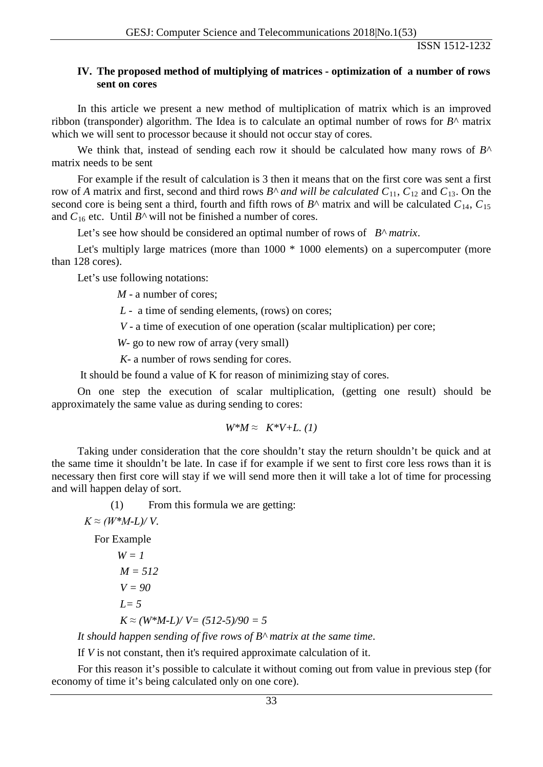#### **IV. The proposed method of multiplying of matrices - optimization of a number of rows sent on cores**

In this article we present a new method of multiplication of matrix which is an improved ribbon (transponder) algorithm. The Idea is to calculate an optimal number of rows for  $B^{\wedge}$  matrix which we will sent to processor because it should not occur stay of cores.

We think that, instead of sending each row it should be calculated how many rows of *B^* matrix needs to be sent

For example if the result of calculation is 3 then it means that on the first core was sent a first row of *A* matrix and first, second and third rows  $B^{\wedge}$  and will be calculated  $C_{11}$ ,  $C_{12}$  and  $C_{13}$ . On the second core is being sent a third, fourth and fifth rows of  $B^{\wedge}$  matrix and will be calculated  $C_{14}$ ,  $C_{15}$ and  $C_{16}$  etc. Until  $B^{\wedge}$  will not be finished a number of cores.

Let's see how should be considered an optimal number of rows of *B^ matrix*.

Let's multiply large matrices (more than  $1000 * 1000$  elements) on a supercomputer (more than 128 cores).

Let's use following notations:

*M* - a number of cores;

*L -* a time of sending elements, (rows) on cores;

*V* - a time of execution of one operation (scalar multiplication) per core;

*W*- go to new row of array (very small)

*K-* a number of rows sending for cores.

It should be found a value of K for reason of minimizing stay of cores.

On one step the execution of scalar multiplication, (getting one result) should be approximately the same value as during sending to cores:

$$
W^*M \approx K^*V + L \ (1)
$$

Taking under consideration that the core shouldn't stay the return shouldn't be quick and at the same time it shouldn't be late. In case if for example if we sent to first core less rows than it is necessary then first core will stay if we will send more then it will take a lot of time for processing and will happen delay of sort.

(1) From this formula we are getting:

 $K \approx (W^*M$ *-L*)/*V*.

For Example

$$
W = 1
$$
  
\n
$$
M = 512
$$
  
\n
$$
V = 90
$$
  
\n
$$
L = 5
$$
  
\n
$$
K \approx (W^*M \cdot L) / V = (512.5) / 90 = 5
$$

*It should happen sending of five rows of B^ matrix at the same time*.

If *V* is not constant, then it's required approximate calculation of it.

For this reason it's possible to calculate it without coming out from value in previous step (for economy of time it's being calculated only on one core).